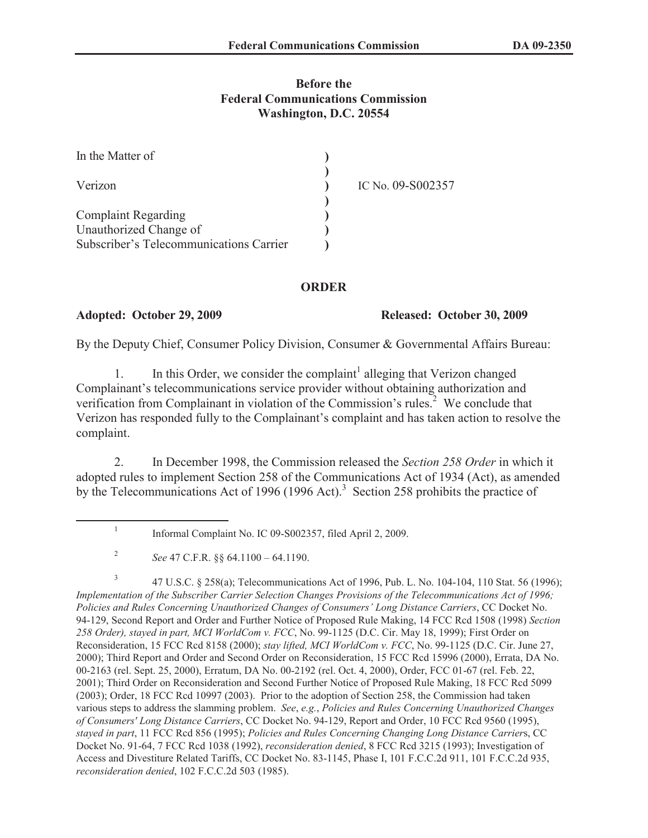## **Before the Federal Communications Commission Washington, D.C. 20554**

| In the Matter of                        |                   |
|-----------------------------------------|-------------------|
| Verizon                                 | IC No. 09-S002357 |
| <b>Complaint Regarding</b>              |                   |
| Unauthorized Change of                  |                   |
| Subscriber's Telecommunications Carrier |                   |

### **ORDER**

### **Adopted: October 29, 2009 Released: October 30, 2009**

By the Deputy Chief, Consumer Policy Division, Consumer & Governmental Affairs Bureau:

1. In this Order, we consider the complaint<sup>1</sup> alleging that Verizon changed Complainant's telecommunications service provider without obtaining authorization and verification from Complainant in violation of the Commission's rules.<sup>2</sup> We conclude that Verizon has responded fully to the Complainant's complaint and has taken action to resolve the complaint.

2. In December 1998, the Commission released the *Section 258 Order* in which it adopted rules to implement Section 258 of the Communications Act of 1934 (Act), as amended by the Telecommunications Act of 1996 (1996 Act).<sup>3</sup> Section 258 prohibits the practice of

3 47 U.S.C. § 258(a); Telecommunications Act of 1996, Pub. L. No. 104-104, 110 Stat. 56 (1996); *Implementation of the Subscriber Carrier Selection Changes Provisions of the Telecommunications Act of 1996; Policies and Rules Concerning Unauthorized Changes of Consumers' Long Distance Carriers*, CC Docket No. 94-129, Second Report and Order and Further Notice of Proposed Rule Making, 14 FCC Rcd 1508 (1998) *Section 258 Order), stayed in part, MCI WorldCom v. FCC*, No. 99-1125 (D.C. Cir. May 18, 1999); First Order on Reconsideration, 15 FCC Rcd 8158 (2000); *stay lifted, MCI WorldCom v. FCC*, No. 99-1125 (D.C. Cir. June 27, 2000); Third Report and Order and Second Order on Reconsideration, 15 FCC Rcd 15996 (2000), Errata, DA No. 00-2163 (rel. Sept. 25, 2000), Erratum, DA No. 00-2192 (rel. Oct. 4, 2000), Order, FCC 01-67 (rel. Feb. 22, 2001); Third Order on Reconsideration and Second Further Notice of Proposed Rule Making, 18 FCC Rcd 5099 (2003); Order, 18 FCC Rcd 10997 (2003). Prior to the adoption of Section 258, the Commission had taken various steps to address the slamming problem. *See*, *e.g.*, *Policies and Rules Concerning Unauthorized Changes of Consumers' Long Distance Carriers*, CC Docket No. 94-129, Report and Order, 10 FCC Rcd 9560 (1995), *stayed in part*, 11 FCC Rcd 856 (1995); *Policies and Rules Concerning Changing Long Distance Carrier*s, CC Docket No. 91-64, 7 FCC Rcd 1038 (1992), *reconsideration denied*, 8 FCC Rcd 3215 (1993); Investigation of Access and Divestiture Related Tariffs, CC Docket No. 83-1145, Phase I, 101 F.C.C.2d 911, 101 F.C.C.2d 935, *reconsideration denied*, 102 F.C.C.2d 503 (1985).

<sup>1</sup> Informal Complaint No. IC 09-S002357, filed April 2, 2009.

<sup>2</sup> *See* 47 C.F.R. §§ 64.1100 – 64.1190.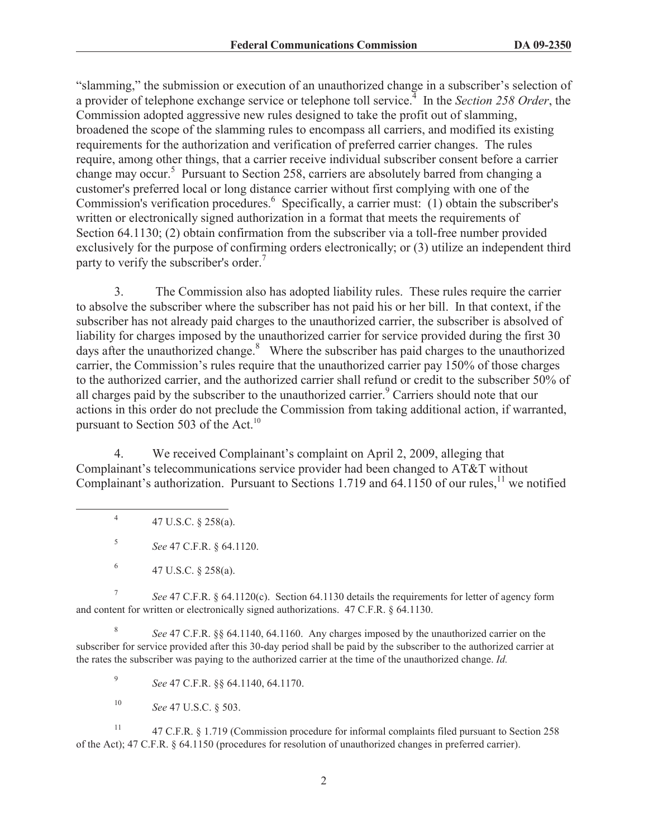"slamming," the submission or execution of an unauthorized change in a subscriber's selection of a provider of telephone exchange service or telephone toll service.<sup>4</sup> In the *Section 258 Order*, the Commission adopted aggressive new rules designed to take the profit out of slamming, broadened the scope of the slamming rules to encompass all carriers, and modified its existing requirements for the authorization and verification of preferred carrier changes. The rules require, among other things, that a carrier receive individual subscriber consent before a carrier change may occur.<sup>5</sup> Pursuant to Section 258, carriers are absolutely barred from changing a customer's preferred local or long distance carrier without first complying with one of the Commission's verification procedures.<sup>6</sup> Specifically, a carrier must: (1) obtain the subscriber's written or electronically signed authorization in a format that meets the requirements of Section 64.1130; (2) obtain confirmation from the subscriber via a toll-free number provided exclusively for the purpose of confirming orders electronically; or (3) utilize an independent third party to verify the subscriber's order.<sup>7</sup>

3. The Commission also has adopted liability rules. These rules require the carrier to absolve the subscriber where the subscriber has not paid his or her bill. In that context, if the subscriber has not already paid charges to the unauthorized carrier, the subscriber is absolved of liability for charges imposed by the unauthorized carrier for service provided during the first 30 days after the unauthorized change. $8$  Where the subscriber has paid charges to the unauthorized carrier, the Commission's rules require that the unauthorized carrier pay 150% of those charges to the authorized carrier, and the authorized carrier shall refund or credit to the subscriber 50% of all charges paid by the subscriber to the unauthorized carrier.<sup>9</sup> Carriers should note that our actions in this order do not preclude the Commission from taking additional action, if warranted, pursuant to Section 503 of the Act.<sup>10</sup>

4. We received Complainant's complaint on April 2, 2009, alleging that Complainant's telecommunications service provider had been changed to AT&T without Complainant's authorization. Pursuant to Sections 1.719 and 64.1150 of our rules,<sup>11</sup> we notified

4 47 U.S.C. § 258(a).

5 *See* 47 C.F.R. § 64.1120.

7 *See* 47 C.F.R. § 64.1120(c). Section 64.1130 details the requirements for letter of agency form and content for written or electronically signed authorizations. 47 C.F.R. § 64.1130.

8 *See* 47 C.F.R. §§ 64.1140, 64.1160. Any charges imposed by the unauthorized carrier on the subscriber for service provided after this 30-day period shall be paid by the subscriber to the authorized carrier at the rates the subscriber was paying to the authorized carrier at the time of the unauthorized change. *Id.*

9 *See* 47 C.F.R. §§ 64.1140, 64.1170.

<sup>10</sup> *See* 47 U.S.C. § 503.

<sup>11</sup> 47 C.F.R. § 1.719 (Commission procedure for informal complaints filed pursuant to Section 258 of the Act); 47 C.F.R. § 64.1150 (procedures for resolution of unauthorized changes in preferred carrier).

<sup>6</sup> 47 U.S.C. § 258(a).